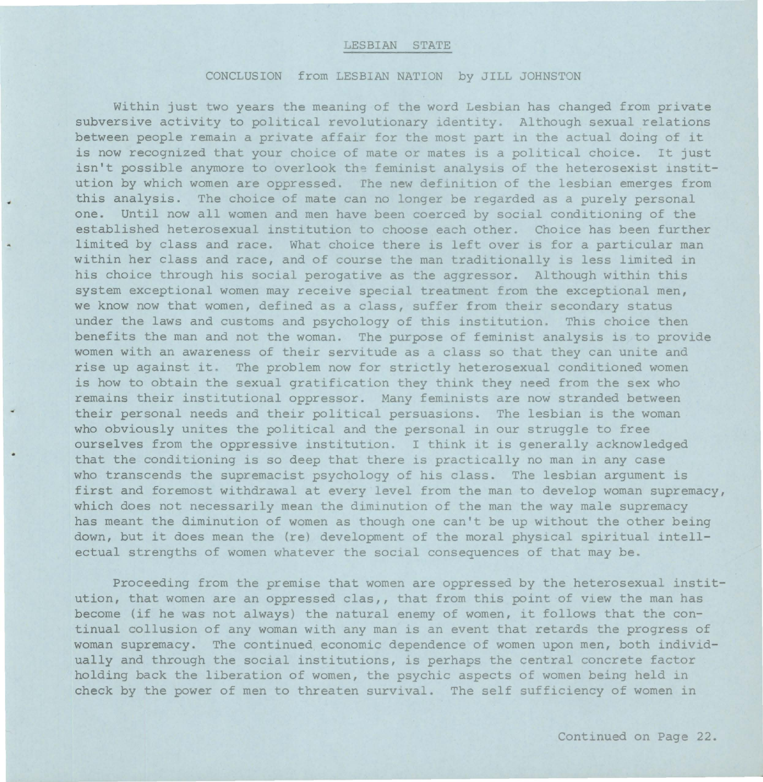## LESBIAN STATE

## CONCLUSION from LESBIAN NATION by JILL JOHNSTON

Within just two years the meaning of the word Lesbian has changed from private subversive activity to political revolutionary identity . Although sexual relations between people remain a private affair for the most part in the actual doing of it is now recognized that your choice of mate or mates is a political choice. It just isn't possible anymore to overlook the feminist analysis of the heterosexist institution by which women are oppressed. rhe new definition of the lesbian emerges from this analysis. The choice of mate can no longer be regarded as a purely personal one. Until now all women and men have been coerced by social conditioning of the established heterosexual institution to choose each other. Choice has been further limited by class and race. What choice there is left over is for a particular man within her class and race, and of course the man traditionally is less limited in his choice through his social perogative as the aggressor. Although within this system exceptional women may receive special treatment from the exceptional men, we know now that women, defined as a class, suffer from their secondary status under the laws and customs and psychology of this institution. This choice then benefits the man and not the woman. The purpose of feminist analysis is to provide women with an awareness of their servitude as a class so that they can unite and rise up against it. The problem now for strictly heterosexual conditioned women is how to obtain the sexual gratification they think they need from the sex who remains their institutional oppressor. Many feminists are now stranded between their personal needs and their political persuasions. The lesbian is the woman who obviously unites the political and the personal in our struggle to free ourselves from the oppressive institution . I think it is generally acknowledged that the conditioning is so deep that there is practically no man in any case who transcends the supremacist psychology of his class. The lesbian argument is first and foremost withdrawal at every level from the man to develop woman supremacy, which does not necessarily mean the diminution of the man the way male supremacy has meant the diminution of women as though one can't be up without the other being down, but it does mean the (re) development of the moral physical spiritual intellectual strengths of women whatever the social consequences of that may be.

Proceeding from the premise that women are oppressed by the heterosexual institution, that women are an oppressed clas,, that from this point of view the man has become (if he was not always) the natural enemy of women, it follows that the continual collusion of any woman with any man is an event that retards the progress of woman supremacy. The continued economic dependence of women upon men, both individually and through the social institutions, is perhaps the central concrete factor holding back the liberation of women, the psychic aspects of women being held in check by the power of men to threaten survival. The self sufficiency of women in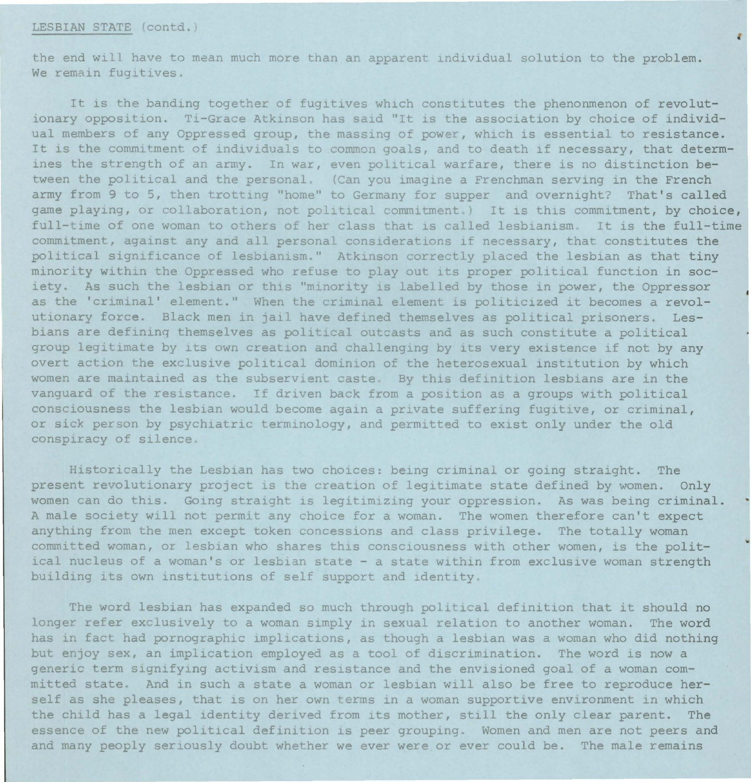## LESBIAN STATE (contd.)

the end will have to mean much more than an apparent individual solution to the problem. We remain fugitives.

It is the banding together of fugitives which constitutes the phenonmenon of revolutionary opposition. Ti-Grace Atkinson has said "It is the association by choice of individual members of any Oppressed group, the massing of power, which is essential to resistance. It is the commitment of individuals to common goals, and to death if necessary, that determines the strength of an army. In war, even political warfare, there is no distinction between the political and the personal. (Can you imagine a Frenchman serving in the French army from 9 to 5, then trotting "home" to Germany for supper and overnight? That's called game playing, or collaboration, not political commitment.) It is this commitment, by choice, full-time of one woman to others of her class that is called lesbianism. It is the full-time commitment, against any and all personal considerations if necessary, that constitutes the political significance of lesbianism." Atkinson correctly placed the lesbian as that tiny minority within the Oppressed who refuse to play out its proper political function in society. As such the lesbian or this "minority is labelled by those in power, the Oppressor as the 'criminal' element." When the criminal element is politicized it becomes a revolutionary force. Black men in jail have defined themselves as political prisoners. Lesbians are defining themselves as political outcasts and as such constitute a political group legitimate by its own creation and challenging by its very existence if not by any overt action the exclusive political dominion of the heterosexual institution by which women are maintained as the subservient caste. By this definition lesbians are in the vanguard of the resistance. If driven back from a position as a groups with political consciousness the lesbian would become again a private suffering fugitive, or criminal, or sick person by psychiatric terminology, and permitted to exist only under the old conspiracy of silence.

Historically the Lesbian has two choices: being criminal or going straight. The present revolutionary project is the creation of legitimate state defined by women. Only women can do this. Going straight is legitimizing your oppression. As was being criminal. A male society will not permit any choice for a woman. The women therefore can't expect anything from the men except token concessions and class privilege. The totally woman committed woman, or lesbian who shares this consciousness with other women, is the political nucleus of a woman's or lesbian state - a state within from exclusive woman strength building its own institutions of self support and identity.

The word lesbian has expanded so much through political definition that it should no longer refer exclusively to a woman simply in sexual relation to another woman. The word has in fact had pornographic implications, as though a lesbian was a woman who did nothing but enjoy sex, an implication employed as a tool of discrimination. The word is now a generic term signifying activism and resistance and the envisioned goal of a woman committed state. And in such a state a woman or lesbian will also be free to reproduce herself as she pleases, that is on her own terms *in* a woman supportive environment in which the child has a legal identity derived from its mother, still the only clear parent. The essence of the new political definition is peer grouping. Women and men are not peers and and many peoply seriously doubt whether we ever were or ever could be. The male remains